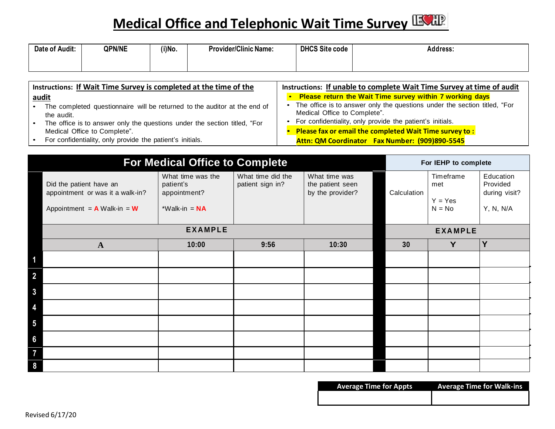## **Medical Office and Telephonic Wait Time Survey**

| of Audit:<br>Date | <b>QPN/NE</b> | (i)No. | <b>Provider/Clinic Name:</b> | <b>DHCS Site code</b> | Address. |
|-------------------|---------------|--------|------------------------------|-----------------------|----------|
|                   |               |        |                              |                       |          |

| Instructions: If Wait Time Survey is completed at the time of the         | Instructions: If unable to complete Wait Time Survey at time of audit     |  |  |
|---------------------------------------------------------------------------|---------------------------------------------------------------------------|--|--|
| audit                                                                     | • Please return the Wait Time survey within 7 working days                |  |  |
| The completed questionnaire will be returned to the auditor at the end of | The office is to answer only the questions under the section titled, "For |  |  |
| the audit.                                                                | Medical Office to Complete".                                              |  |  |
| The office is to answer only the questions under the section titled, "For | For confidentiality, only provide the patient's initials.                 |  |  |
| Medical Office to Complete".                                              | <b>Please fax or email the completed Wait Time survey to:</b>             |  |  |
| For confidentiality, only provide the patient's initials.                 | Attn: QM Coordinator Fax Number: (909)890-5545                            |  |  |

| <b>For Medical Office to Complete</b>                                                                    |                                                                   |                                       |                                                       | For IEHP to complete |                                           |                                                     |  |
|----------------------------------------------------------------------------------------------------------|-------------------------------------------------------------------|---------------------------------------|-------------------------------------------------------|----------------------|-------------------------------------------|-----------------------------------------------------|--|
| Did the patient have an<br>appointment or was it a walk-in?<br>Appointment = $\bf{A}$ Walk-in = $\bf{W}$ | What time was the<br>patient's<br>appointment?<br>*Walk-in = $NA$ | What time did the<br>patient sign in? | What time was<br>the patient seen<br>by the provider? | Calculation          | Timeframe<br>met<br>$Y = Yes$<br>$N = No$ | Education<br>Provided<br>during visit?<br>Y, N, N/A |  |
| <b>EXAMPLE</b>                                                                                           |                                                                   |                                       |                                                       |                      | <b>EXAMPLE</b>                            |                                                     |  |
| $\mathbf{A}$                                                                                             | 10:00                                                             | 9:56                                  | 10:30                                                 | 30                   | Y                                         | Y                                                   |  |
| 1                                                                                                        |                                                                   |                                       |                                                       |                      |                                           |                                                     |  |
| $\overline{\mathbf{2}}$                                                                                  |                                                                   |                                       |                                                       |                      |                                           |                                                     |  |
| $\mathbf{3}$                                                                                             |                                                                   |                                       |                                                       |                      |                                           |                                                     |  |
| 4                                                                                                        |                                                                   |                                       |                                                       |                      |                                           |                                                     |  |
| $\overline{\mathbf{5}}$                                                                                  |                                                                   |                                       |                                                       |                      |                                           |                                                     |  |
| $6\phantom{a}$                                                                                           |                                                                   |                                       |                                                       |                      |                                           |                                                     |  |
| $\overline{7}$                                                                                           |                                                                   |                                       |                                                       |                      |                                           |                                                     |  |
| 8                                                                                                        |                                                                   |                                       |                                                       |                      |                                           |                                                     |  |

| <b>Average Time for Appts</b> | <b>Average Time for Walk-ins</b> |
|-------------------------------|----------------------------------|
|                               |                                  |